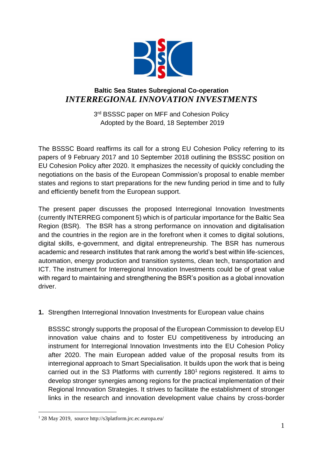

## **Baltic Sea States Subregional Co-operation** *INTERREGIONAL INNOVATION INVESTMENTS*

3<sup>rd</sup> BSSSC paper on MFF and Cohesion Policy Adopted by the Board, 18 September 2019

The BSSSC Board reaffirms its call for a strong EU Cohesion Policy referring to its papers of 9 February 2017 and 10 September 2018 outlining the BSSSC position on EU Cohesion Policy after 2020. It emphasizes the necessity of quickly concluding the negotiations on the basis of the European Commission's proposal to enable member states and regions to start preparations for the new funding period in time and to fully and efficiently benefit from the European support.

The present paper discusses the proposed Interregional Innovation Investments (currently INTERREG component 5) which is of particular importance for the Baltic Sea Region (BSR). The BSR has a strong performance on innovation and digitalisation and the countries in the region are in the forefront when it comes to digital solutions, digital skills, e-government, and digital entrepreneurship. The BSR has numerous academic and research institutes that rank among the world's best within life-sciences, automation, energy production and transition systems, clean tech, transportation and ICT. The instrument for Interregional Innovation Investments could be of great value with regard to maintaining and strengthening the BSR's position as a global innovation driver.

## **1.** Strengthen Interregional Innovation Investments for European value chains

BSSSC strongly supports the proposal of the European Commission to develop EU innovation value chains and to foster EU competitiveness by introducing an instrument for Interregional Innovation Investments into the EU Cohesion Policy after 2020. The main European added value of the proposal results from its interregional approach to Smart Specialisation. It builds upon the work that is being carried out in the S3 Platforms with currently  $180<sup>1</sup>$  regions registered. It aims to develop stronger synergies among regions for the practical implementation of their Regional Innovation Strategies. It strives to facilitate the establishment of stronger links in the research and innovation development value chains by cross-border

 $\overline{a}$ 

<sup>1</sup> 28 May 2019, source http://s3platform.jrc.ec.europa.eu/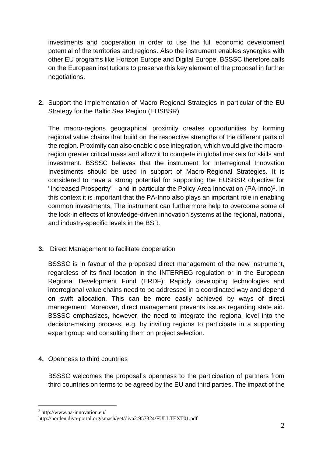investments and cooperation in order to use the full economic development potential of the territories and regions. Also the instrument enables synergies with other EU programs like Horizon Europe and Digital Europe. BSSSC therefore calls on the European institutions to preserve this key element of the proposal in further negotiations.

**2.** Support the implementation of Macro Regional Strategies in particular of the EU Strategy for the Baltic Sea Region (EUSBSR)

The macro-regions geographical proximity creates opportunities by forming regional value chains that build on the respective strengths of the different parts of the region. Proximity can also enable close integration, which would give the macroregion greater critical mass and allow it to compete in global markets for skills and investment. BSSSC believes that the instrument for Interregional Innovation Investments should be used in support of Macro-Regional Strategies. It is considered to have a strong potential for supporting the EUSBSR objective for "Increased Prosperity" - and in particular the Policy Area Innovation (PA-Inno)<sup>2</sup>. In this context it is important that the PA-Inno also plays an important role in enabling common investments. The instrument can furthermore help to overcome some of the lock-in effects of knowledge-driven innovation systems at the regional, national, and industry-specific levels in the BSR.

**3.** Direct Management to facilitate cooperation

BSSSC is in favour of the proposed direct management of the new instrument, regardless of its final location in the INTERREG regulation or in the European Regional Development Fund (ERDF): Rapidly developing technologies and interregional value chains need to be addressed in a coordinated way and depend on swift allocation. This can be more easily achieved by ways of direct management. Moreover, direct management prevents issues regarding state aid. BSSSC emphasizes, however, the need to integrate the regional level into the decision-making process, e.g. by inviting regions to participate in a supporting expert group and consulting them on project selection.

**4.** Openness to third countries

BSSSC welcomes the proposal's openness to the participation of partners from third countries on terms to be agreed by the EU and third parties. The impact of the

 $\overline{a}$ 

<sup>2</sup> http://www.pa-innovation.eu/

http://norden.diva-portal.org/smash/get/diva2:957324/FULLTEXT01.pdf